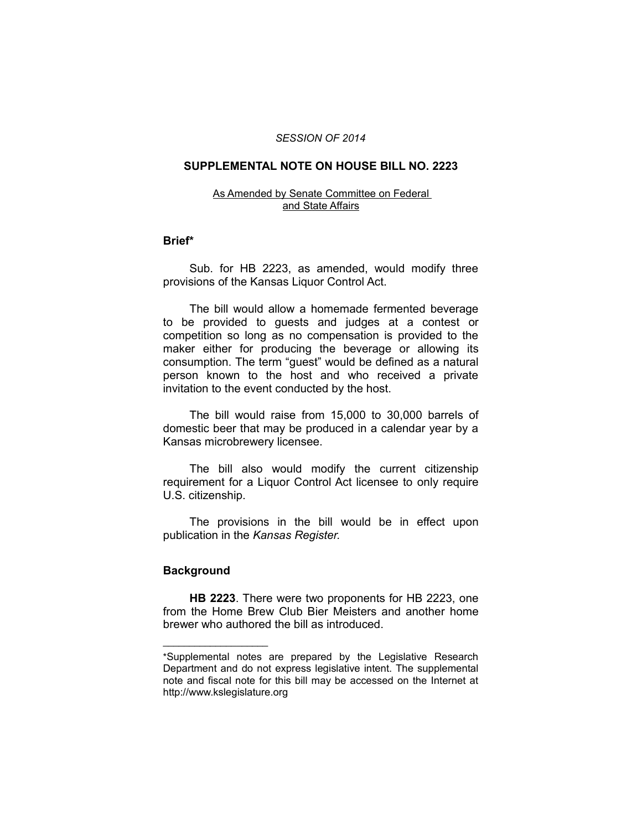### *SESSION OF 2014*

# **SUPPLEMENTAL NOTE ON HOUSE BILL NO. 2223**

#### As Amended by Senate Committee on Federal and State Affairs

## **Brief\***

Sub. for HB 2223, as amended, would modify three provisions of the Kansas Liquor Control Act.

The bill would allow a homemade fermented beverage to be provided to guests and judges at a contest or competition so long as no compensation is provided to the maker either for producing the beverage or allowing its consumption. The term "guest" would be defined as a natural person known to the host and who received a private invitation to the event conducted by the host.

The bill would raise from 15,000 to 30,000 barrels of domestic beer that may be produced in a calendar year by a Kansas microbrewery licensee.

The bill also would modify the current citizenship requirement for a Liquor Control Act licensee to only require U.S. citizenship.

The provisions in the bill would be in effect upon publication in the *Kansas Register.*

# **Background**

 $\overline{\phantom{a}}$  , where  $\overline{\phantom{a}}$  , where  $\overline{\phantom{a}}$ 

**HB 2223**. There were two proponents for HB 2223, one from the Home Brew Club Bier Meisters and another home brewer who authored the bill as introduced.

<sup>\*</sup>Supplemental notes are prepared by the Legislative Research Department and do not express legislative intent. The supplemental note and fiscal note for this bill may be accessed on the Internet at http://www.kslegislature.org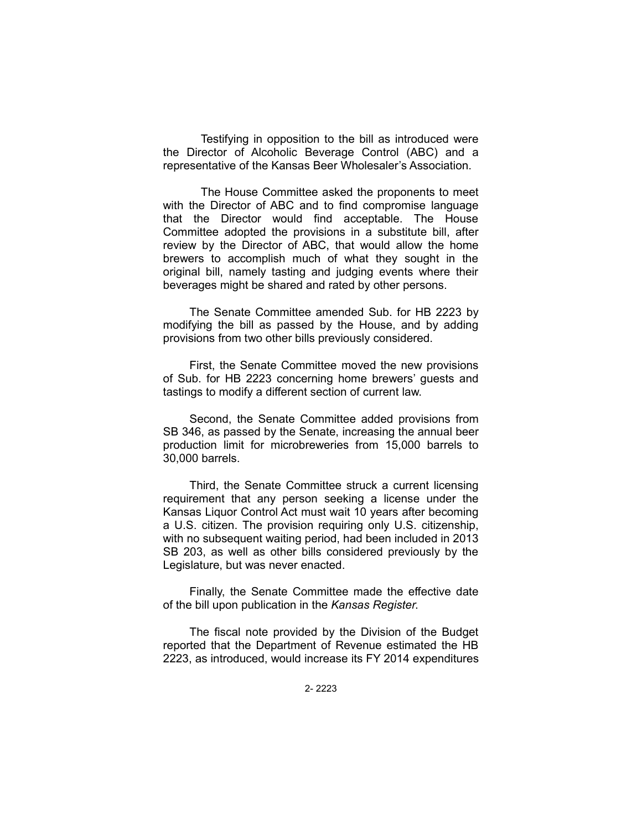Testifying in opposition to the bill as introduced were the Director of Alcoholic Beverage Control (ABC) and a representative of the Kansas Beer Wholesaler's Association.

The House Committee asked the proponents to meet with the Director of ABC and to find compromise language that the Director would find acceptable. The House Committee adopted the provisions in a substitute bill, after review by the Director of ABC, that would allow the home brewers to accomplish much of what they sought in the original bill, namely tasting and judging events where their beverages might be shared and rated by other persons.

The Senate Committee amended Sub. for HB 2223 by modifying the bill as passed by the House, and by adding provisions from two other bills previously considered.

First, the Senate Committee moved the new provisions of Sub. for HB 2223 concerning home brewers' guests and tastings to modify a different section of current law.

Second, the Senate Committee added provisions from SB 346, as passed by the Senate, increasing the annual beer production limit for microbreweries from 15,000 barrels to 30,000 barrels.

Third, the Senate Committee struck a current licensing requirement that any person seeking a license under the Kansas Liquor Control Act must wait 10 years after becoming a U.S. citizen. The provision requiring only U.S. citizenship, with no subsequent waiting period, had been included in 2013 SB 203, as well as other bills considered previously by the Legislature, but was never enacted.

Finally, the Senate Committee made the effective date of the bill upon publication in the *Kansas Register*.

The fiscal note provided by the Division of the Budget reported that the Department of Revenue estimated the HB 2223, as introduced, would increase its FY 2014 expenditures